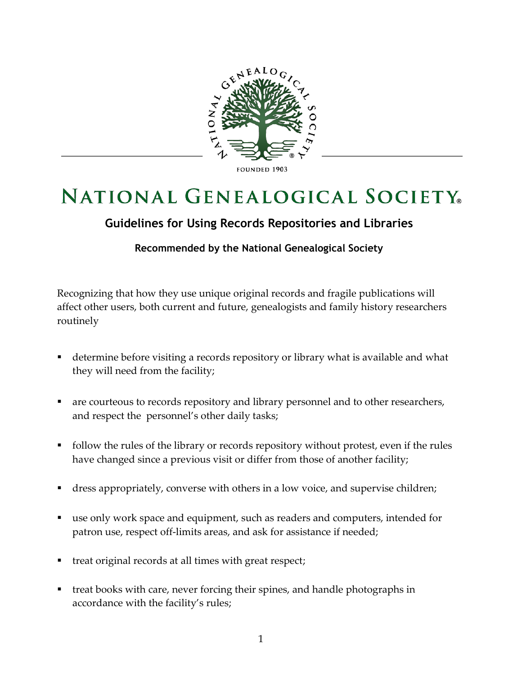

**FOUNDED 1903** 

## **NATIONAL GENEALOGICAL SOCIETY**.

## **Guidelines for Using Records Repositories and Libraries**

## **Recommended by the National Genealogical Society**

Recognizing that how they use unique original records and fragile publications will affect other users, both current and future, genealogists and family history researchers routinely

- determine before visiting a records repository or library what is available and what they will need from the facility;
- are courteous to records repository and library personnel and to other researchers, and respect the personnel's other daily tasks;
- follow the rules of the library or records repository without protest, even if the rules have changed since a previous visit or differ from those of another facility;
- dress appropriately, converse with others in a low voice, and supervise children;
- use only work space and equipment, such as readers and computers, intended for patron use, respect off-limits areas, and ask for assistance if needed;
- treat original records at all times with great respect;
- treat books with care, never forcing their spines, and handle photographs in accordance with the facility's rules;